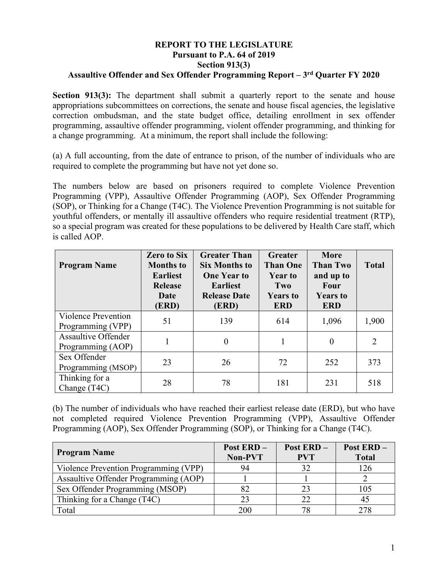## **REPORT TO THE LEGISLATURE Pursuant to P.A. 64 of 2019 Section 913(3) Assaultive Offender and Sex Offender Programming Report – 3rd Quarter FY 2020**

**Section 913(3):** The department shall submit a quarterly report to the senate and house appropriations subcommittees on corrections, the senate and house fiscal agencies, the legislative correction ombudsman, and the state budget office, detailing enrollment in sex offender programming, assaultive offender programming, violent offender programming, and thinking for a change programming. At a minimum, the report shall include the following:

(a) A full accounting, from the date of entrance to prison, of the number of individuals who are required to complete the programming but have not yet done so.

The numbers below are based on prisoners required to complete Violence Prevention Programming (VPP), Assaultive Offender Programming (AOP), Sex Offender Programming (SOP), or Thinking for a Change (T4C). The Violence Prevention Programming is not suitable for youthful offenders, or mentally ill assaultive offenders who require residential treatment (RTP), so a special program was created for these populations to be delivered by Health Care staff, which is called AOP.

| <b>Program Name</b>                             | <b>Zero to Six</b><br><b>Months to</b><br><b>Earliest</b><br><b>Release</b><br>Date<br>(ERD) | <b>Greater Than</b><br><b>Six Months to</b><br><b>One Year to</b><br><b>Earliest</b><br><b>Release Date</b><br>(ERD) | Greater<br><b>Than One</b><br><b>Year to</b><br>Two<br><b>Years to</b><br><b>ERD</b> | <b>More</b><br><b>Than Two</b><br>and up to<br>Four<br><b>Years to</b><br><b>ERD</b> | <b>Total</b>   |
|-------------------------------------------------|----------------------------------------------------------------------------------------------|----------------------------------------------------------------------------------------------------------------------|--------------------------------------------------------------------------------------|--------------------------------------------------------------------------------------|----------------|
| <b>Violence Prevention</b><br>Programming (VPP) | 51                                                                                           | 139                                                                                                                  | 614                                                                                  | 1,096                                                                                | 1,900          |
| <b>Assaultive Offender</b><br>Programming (AOP) |                                                                                              | $\theta$                                                                                                             |                                                                                      | $\theta$                                                                             | $\overline{2}$ |
| Sex Offender<br>Programming (MSOP)              | 23                                                                                           | 26                                                                                                                   | 72                                                                                   | 252                                                                                  | 373            |
| Thinking for a<br>Change (T4C)                  | 28                                                                                           | 78                                                                                                                   | 181                                                                                  | 231                                                                                  | 518            |

(b) The number of individuals who have reached their earliest release date (ERD), but who have not completed required Violence Prevention Programming (VPP), Assaultive Offender Programming (AOP), Sex Offender Programming (SOP), or Thinking for a Change (T4C).

| <b>Program Name</b>                   | <b>Post ERD -</b><br>Non-PVT | Post ERD-<br><b>PVT</b> | Post ERD-<br><b>Total</b> |
|---------------------------------------|------------------------------|-------------------------|---------------------------|
| Violence Prevention Programming (VPP) | 94                           | 32                      | 126                       |
| Assaultive Offender Programming (AOP) |                              |                         |                           |
| Sex Offender Programming (MSOP)       | 82                           |                         | 105                       |
| Thinking for a Change (T4C)           | 23                           | 22                      | 45                        |
| Total                                 | 200                          |                         | 278                       |